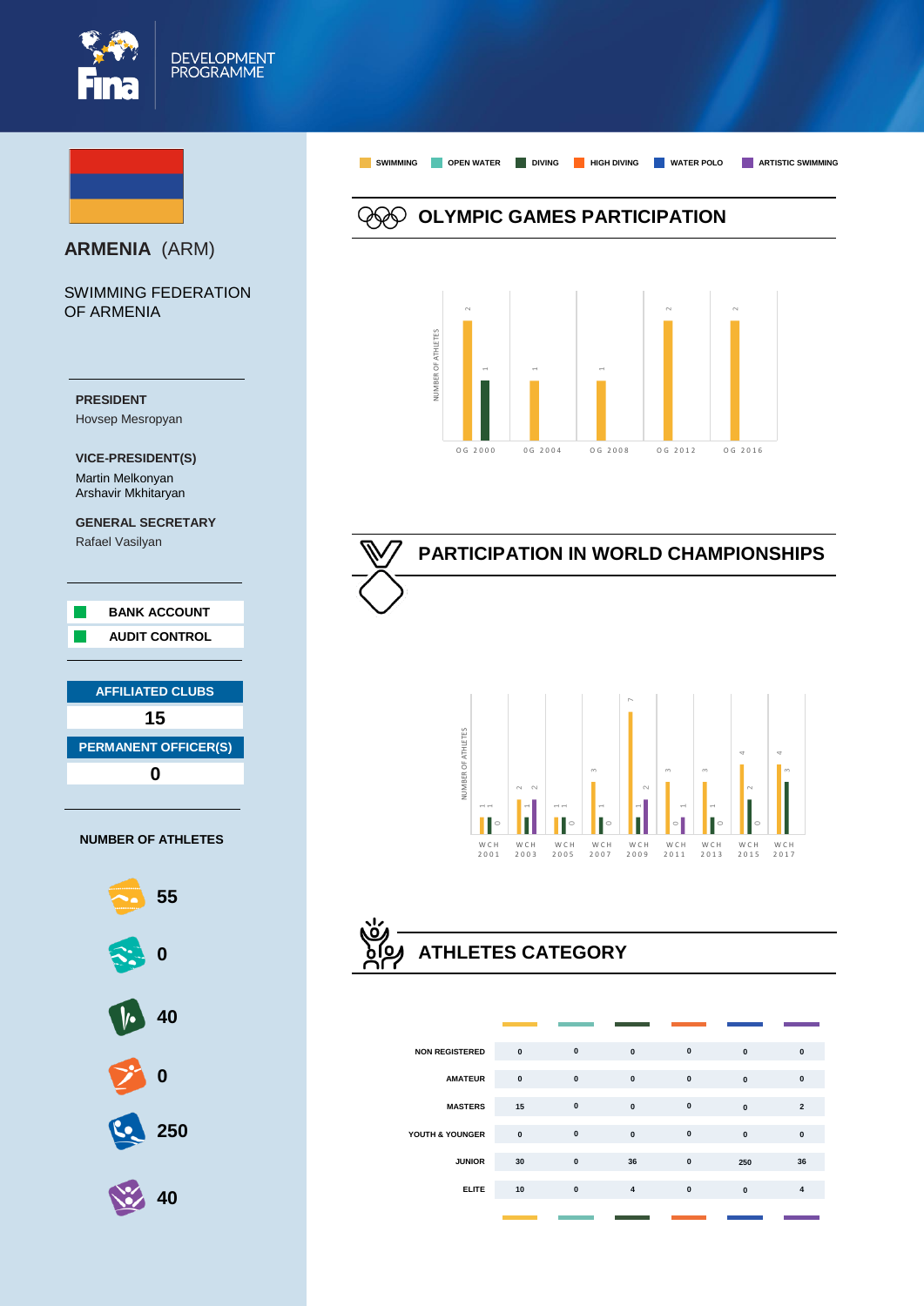